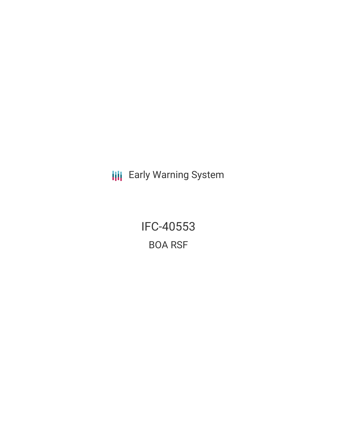**III** Early Warning System

IFC-40553 BOA RSF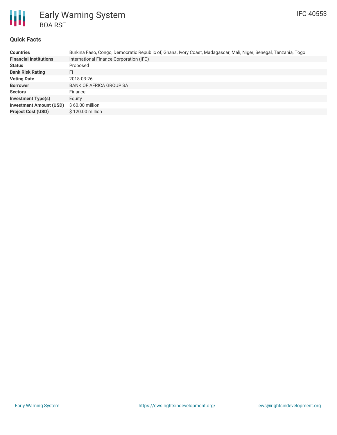

# Early Warning System BOA RSF

## **Quick Facts**

| <b>Countries</b>               | Burkina Faso, Congo, Democratic Republic of, Ghana, Ivory Coast, Madagascar, Mali, Niger, Senegal, Tanzania, Togo |
|--------------------------------|-------------------------------------------------------------------------------------------------------------------|
| <b>Financial Institutions</b>  | International Finance Corporation (IFC)                                                                           |
| <b>Status</b>                  | Proposed                                                                                                          |
| <b>Bank Risk Rating</b>        | FI                                                                                                                |
| <b>Voting Date</b>             | 2018-03-26                                                                                                        |
| <b>Borrower</b>                | <b>BANK OF AFRICA GROUP SA</b>                                                                                    |
| <b>Sectors</b>                 | Finance                                                                                                           |
| <b>Investment Type(s)</b>      | Equity                                                                                                            |
| <b>Investment Amount (USD)</b> | $$60.00$ million                                                                                                  |
| <b>Project Cost (USD)</b>      | \$120.00 million                                                                                                  |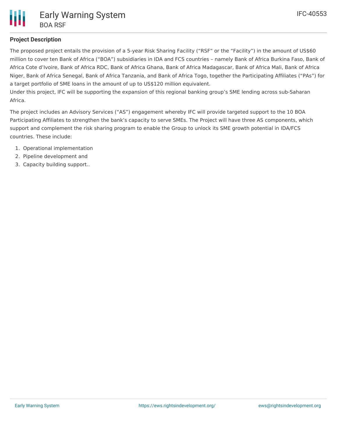

### **Project Description**

The proposed project entails the provision of a 5-year Risk Sharing Facility ("RSF" or the "Facility") in the amount of US\$60 million to cover ten Bank of Africa ("BOA") subsidiaries in IDA and FCS countries – namely Bank of Africa Burkina Faso, Bank of Africa Cote d'Ivoire, Bank of Africa RDC, Bank of Africa Ghana, Bank of Africa Madagascar, Bank of Africa Mali, Bank of Africa Niger, Bank of Africa Senegal, Bank of Africa Tanzania, and Bank of Africa Togo, together the Participating Affiliates ("PAs") for a target portfolio of SME loans in the amount of up to US\$120 million equivalent.

Under this project, IFC will be supporting the expansion of this regional banking group's SME lending across sub-Saharan Africa.

The project includes an Advisory Services ("AS") engagement whereby IFC will provide targeted support to the 10 BOA Participating Affiliates to strengthen the bank's capacity to serve SMEs. The Project will have three AS components, which support and complement the risk sharing program to enable the Group to unlock its SME growth potential in IDA/FCS countries. These include:

- 1. Operational implementation
- 2. Pipeline development and
- 3. Capacity building support..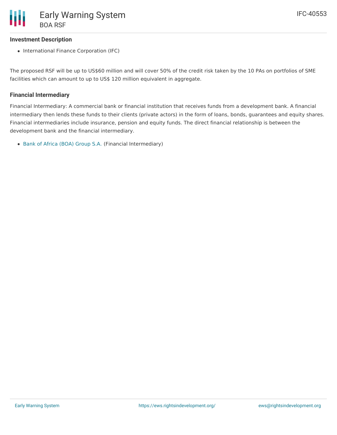### **Investment Description**

• International Finance Corporation (IFC)

The proposed RSF will be up to US\$60 million and will cover 50% of the credit risk taken by the 10 PAs on portfolios of SME facilities which can amount to up to US\$ 120 million equivalent in aggregate.

### **Financial Intermediary**

Financial Intermediary: A commercial bank or financial institution that receives funds from a development bank. A financial intermediary then lends these funds to their clients (private actors) in the form of loans, bonds, guarantees and equity shares. Financial intermediaries include insurance, pension and equity funds. The direct financial relationship is between the development bank and the financial intermediary.

Bank of Africa (BOA) [Group](file:///actor/411/) S.A. (Financial Intermediary)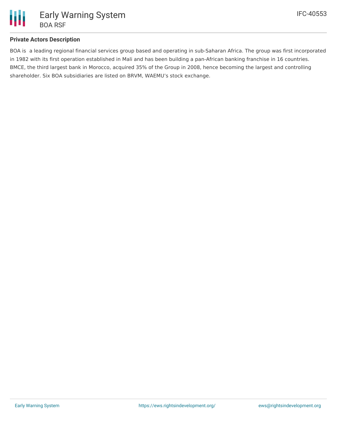

### **Private Actors Description**

BOA is a leading regional financial services group based and operating in sub-Saharan Africa. The group was first incorporated in 1982 with its first operation established in Mali and has been building a pan-African banking franchise in 16 countries. BMCE, the third largest bank in Morocco, acquired 35% of the Group in 2008, hence becoming the largest and controlling shareholder. Six BOA subsidiaries are listed on BRVM, WAEMU's stock exchange.